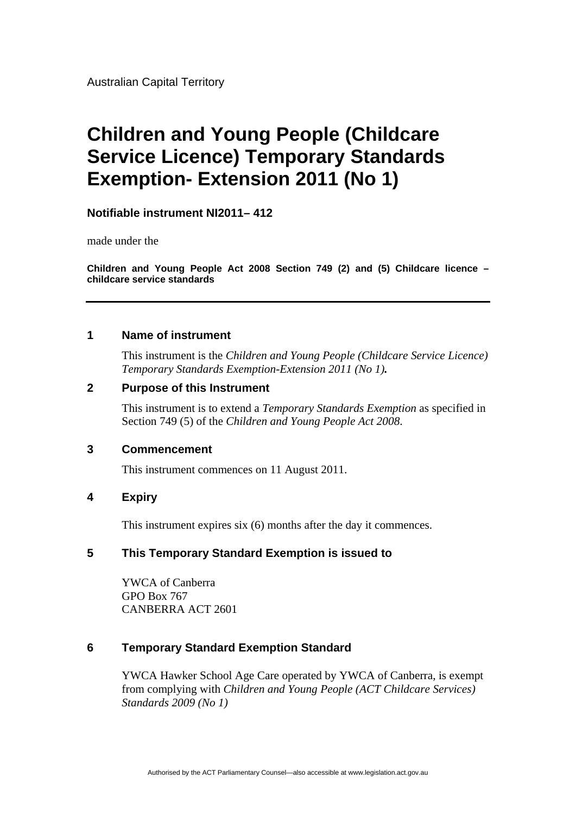Australian Capital Territory

# **Children and Young People (Childcare Service Licence) Temporary Standards Exemption- Extension 2011 (No 1)**

## **Notifiable instrument NI2011– 412**

made under the

**Children and Young People Act 2008 Section 749 (2) and (5) Childcare licence – childcare service standards**

## **1 Name of instrument**

This instrument is the *Children and Young People (Childcare Service Licence) Temporary Standards Exemption-Extension 2011 (No 1).* 

## **2 Purpose of this Instrument**

This instrument is to extend a *Temporary Standards Exemption* as specified in Section 749 (5) of the *Children and Young People Act 2008*.

### **3 Commencement**

This instrument commences on 11 August 2011.

### **4 Expiry**

This instrument expires six (6) months after the day it commences.

### **5 This Temporary Standard Exemption is issued to**

YWCA of Canberra GPO Box 767 CANBERRA ACT 2601

## **6 Temporary Standard Exemption Standard**

YWCA Hawker School Age Care operated by YWCA of Canberra, is exempt from complying with *Children and Young People (ACT Childcare Services) Standards 2009 (No 1)*